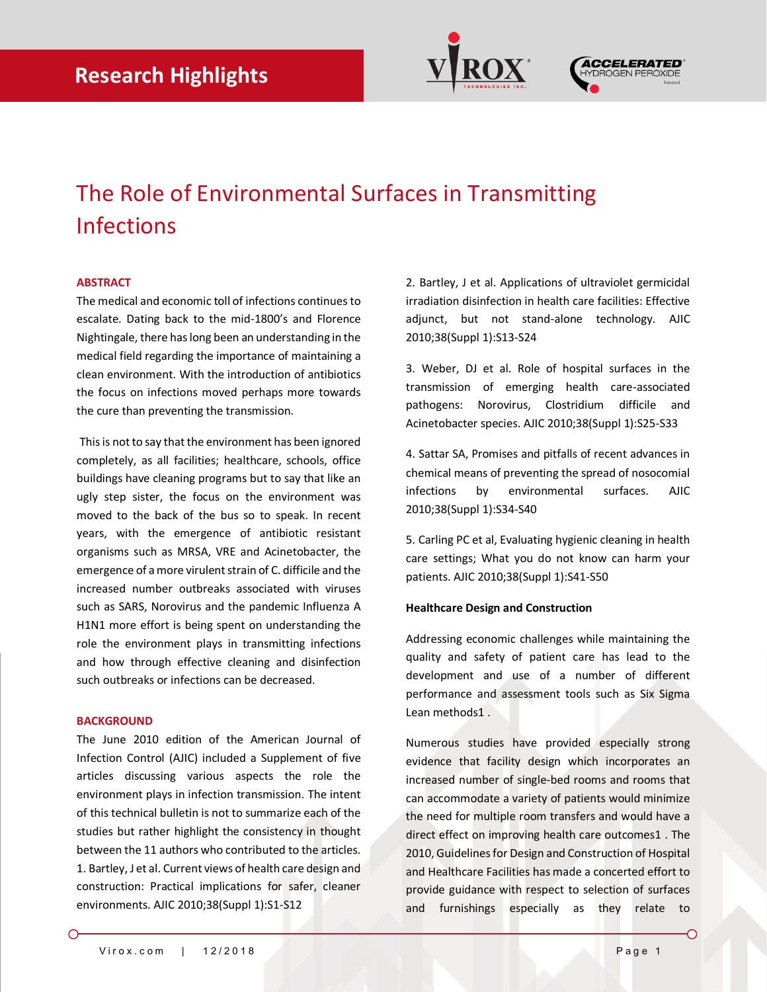



# The Role of Environmental Surfaces in Transmitting Infections

## **ABSTRACT**

The medical and economic toll of infections continues to escalate. Dating back to the mid-1800's and Florence Nightingale, there has long been an understanding in the medical field regarding the importance of maintaining a clean environment. With the introduction of antibiotics the focus on infections moved perhaps more towards the cure than preventing the transmission.

This is not to say that the environment has been ignored completely, as all facilities; healthcare, schools, office buildings have cleaning programs but to say that like an ugly step sister, the focus on the environment was moved to the back of the bus so to speak. In recent years, with the emergence of antibiotic resistant organisms such as MRSA, VRE and Acinetobacter, the emergence of a more virulent strain of C. difficile and the increased number outbreaks associated with viruses such as SARS, Norovirus and the pandemic Influenza A H1N1 more effort is being spent on understanding the role the environment plays in transmitting infections and how through effective cleaning and disinfection such outbreaks or infections can be decreased.

#### **BACKGROUND**

The June 2010 edition of the American Journal of Infection Control (AJIC) included a Supplement of five articles discussing various aspects the role the environment plays in infection transmission. The intent of this technical bulletin is not to summarize each of the studies but rather highlight the consistency in thought between the 11 authors who contributed to the articles. 1. Bartley, J et al. Current views of health care design and construction: Practical implications for safer, cleaner environments. AJIC 2010;38(Suppl 1):S1-S12

2. Bartley, J et al. Applications of ultraviolet germicidal irradiation disinfection in health care facilities: Effective adjunct, but not stand-alone technology. AJIC 2010;38(Suppl 1):S13-S24

3. Weber, DJ et al. Role of hospital surfaces in the transmission of emerging health care-associated pathogens: Norovirus, Clostridium difficile and Acinetobacter species. AJIC 2010;38(Suppl 1):S25-S33

4. Sattar SA, Promises and pitfalls of recent advances in chemical means of preventing the spread of nosocomial infections by environmental surfaces. AJIC 2010;38(Suppl 1):S34-S40

5. Carling PC et al, Evaluating hygienic cleaning in health care settings; What you do not know can harm your patients. AJIC 2010;38(Suppl 1):S41-S50

#### **Healthcare Design and Construction**

Addressing economic challenges while maintaining the quality and safety of patient care has lead to the development and use of a number of different performance and assessment tools such as Six Sigma Lean methods1 .

Numerous studies have provided especially strong evidence that facility design which incorporates an increased number of single-bed rooms and rooms that can accommodate a variety of patients would minimize the need for multiple room transfers and would have a direct effect on improving health care outcomes1 . The 2010, Guidelines for Design and Construction of Hospital and Healthcare Facilities has made a concerted effort to provide guidance with respect to selection of surfaces and furnishings especially as they relate to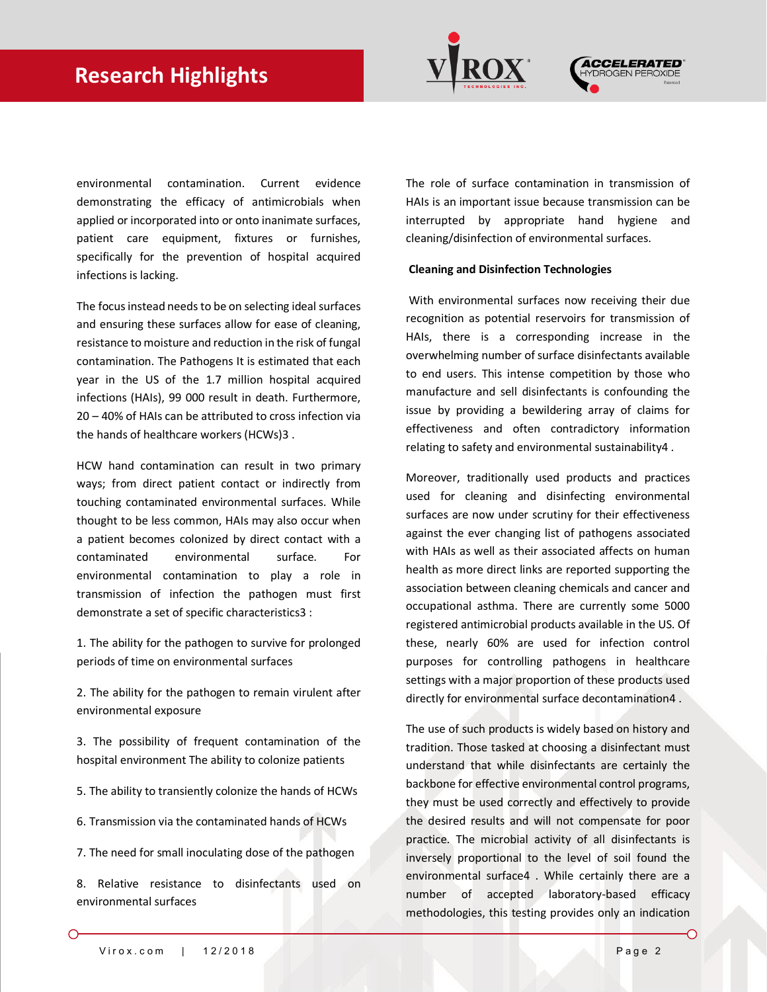

environmental contamination. Current evidence demonstrating the efficacy of antimicrobials when applied or incorporated into or onto inanimate surfaces, patient care equipment, fixtures or furnishes, specifically for the prevention of hospital acquired infections is lacking.

The focus instead needs to be on selecting ideal surfaces and ensuring these surfaces allow for ease of cleaning, resistance to moisture and reduction in the risk of fungal contamination. The Pathogens It is estimated that each year in the US of the 1.7 million hospital acquired infections (HAIs), 99 000 result in death. Furthermore, 20 – 40% of HAIs can be attributed to cross infection via the hands of healthcare workers (HCWs)3 .

HCW hand contamination can result in two primary ways; from direct patient contact or indirectly from touching contaminated environmental surfaces. While thought to be less common, HAIs may also occur when a patient becomes colonized by direct contact with a contaminated environmental surface. For environmental contamination to play a role in transmission of infection the pathogen must first demonstrate a set of specific characteristics3 :

1. The ability for the pathogen to survive for prolonged periods of time on environmental surfaces

2. The ability for the pathogen to remain virulent after environmental exposure

3. The possibility of frequent contamination of the hospital environment The ability to colonize patients

- 5. The ability to transiently colonize the hands of HCWs
- 6. Transmission via the contaminated hands of HCWs
- 7. The need for small inoculating dose of the pathogen

8. Relative resistance to disinfectants used on environmental surfaces

The role of surface contamination in transmission of HAIs is an important issue because transmission can be interrupted by appropriate hand hygiene and cleaning/disinfection of environmental surfaces.

### **Cleaning and Disinfection Technologies**

With environmental surfaces now receiving their due recognition as potential reservoirs for transmission of HAIs, there is a corresponding increase in the overwhelming number of surface disinfectants available to end users. This intense competition by those who manufacture and sell disinfectants is confounding the issue by providing a bewildering array of claims for effectiveness and often contradictory information relating to safety and environmental sustainability4 .

Moreover, traditionally used products and practices used for cleaning and disinfecting environmental surfaces are now under scrutiny for their effectiveness against the ever changing list of pathogens associated with HAIs as well as their associated affects on human health as more direct links are reported supporting the association between cleaning chemicals and cancer and occupational asthma. There are currently some 5000 registered antimicrobial products available in the US. Of these, nearly 60% are used for infection control purposes for controlling pathogens in healthcare settings with a major proportion of these products used directly for environmental surface decontamination4 .

The use of such products is widely based on history and tradition. Those tasked at choosing a disinfectant must understand that while disinfectants are certainly the backbone for effective environmental control programs, they must be used correctly and effectively to provide the desired results and will not compensate for poor practice. The microbial activity of all disinfectants is inversely proportional to the level of soil found the environmental surface4 . While certainly there are a number of accepted laboratory-based efficacy methodologies, this testing provides only an indication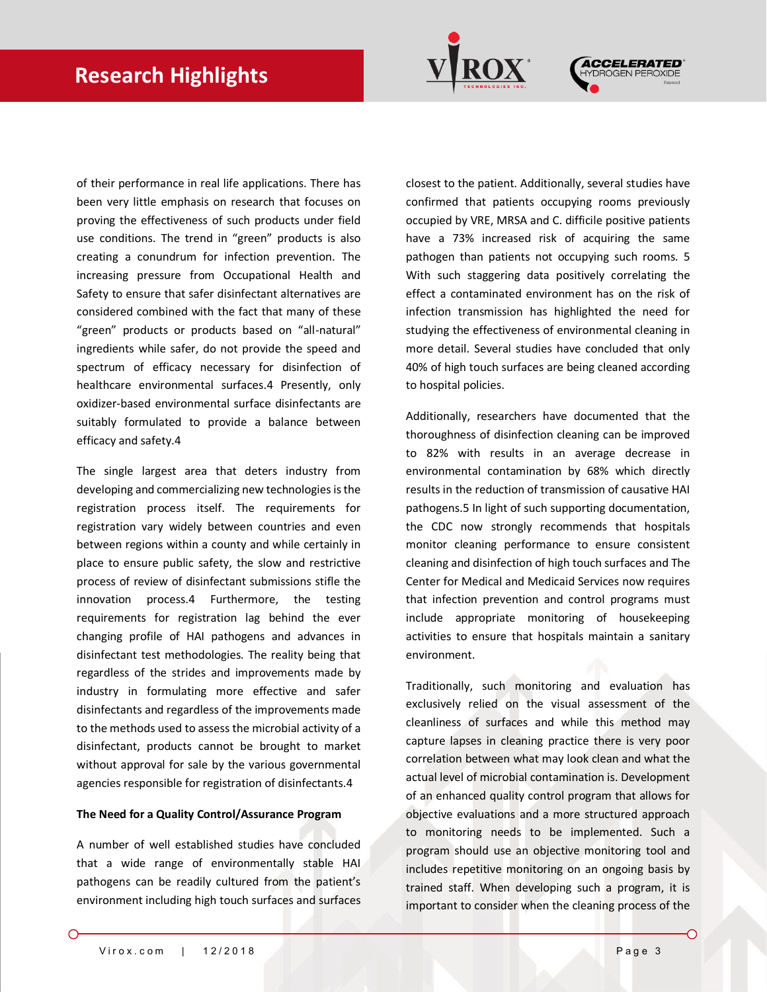



of their performance in real life applications. There has been very little emphasis on research that focuses on proving the effectiveness of such products under field use conditions. The trend in "green" products is also creating a conundrum for infection prevention. The increasing pressure from Occupational Health and Safety to ensure that safer disinfectant alternatives are considered combined with the fact that many of these "green" products or products based on "all-natural" ingredients while safer, do not provide the speed and spectrum of efficacy necessary for disinfection of healthcare environmental surfaces.4 Presently, only oxidizer-based environmental surface disinfectants are suitably formulated to provide a balance between efficacy and safety.4

The single largest area that deters industry from developing and commercializing new technologies is the registration process itself. The requirements for registration vary widely between countries and even between regions within a county and while certainly in place to ensure public safety, the slow and restrictive process of review of disinfectant submissions stifle the innovation process.4 Furthermore, the testing requirements for registration lag behind the ever changing profile of HAI pathogens and advances in disinfectant test methodologies. The reality being that regardless of the strides and improvements made by industry in formulating more effective and safer disinfectants and regardless of the improvements made to the methods used to assess the microbial activity of a disinfectant, products cannot be brought to market without approval for sale by the various governmental agencies responsible for registration of disinfectants.4

#### **The Need for a Quality Control/Assurance Program**

A number of well established studies have concluded that a wide range of environmentally stable HAI pathogens can be readily cultured from the patient's environment including high touch surfaces and surfaces

closest to the patient. Additionally, several studies have confirmed that patients occupying rooms previously occupied by VRE, MRSA and C. difficile positive patients have a 73% increased risk of acquiring the same pathogen than patients not occupying such rooms. 5 With such staggering data positively correlating the effect a contaminated environment has on the risk of infection transmission has highlighted the need for studying the effectiveness of environmental cleaning in more detail. Several studies have concluded that only 40% of high touch surfaces are being cleaned according to hospital policies.

Additionally, researchers have documented that the thoroughness of disinfection cleaning can be improved to 82% with results in an average decrease in environmental contamination by 68% which directly results in the reduction of transmission of causative HAI pathogens.5 In light of such supporting documentation, the CDC now strongly recommends that hospitals monitor cleaning performance to ensure consistent cleaning and disinfection of high touch surfaces and The Center for Medical and Medicaid Services now requires that infection prevention and control programs must include appropriate monitoring of housekeeping activities to ensure that hospitals maintain a sanitary environment.

Traditionally, such monitoring and evaluation has exclusively relied on the visual assessment of the cleanliness of surfaces and while this method may capture lapses in cleaning practice there is very poor correlation between what may look clean and what the actual level of microbial contamination is. Development of an enhanced quality control program that allows for objective evaluations and a more structured approach to monitoring needs to be implemented. Such a program should use an objective monitoring tool and includes repetitive monitoring on an ongoing basis by trained staff. When developing such a program, it is important to consider when the cleaning process of the